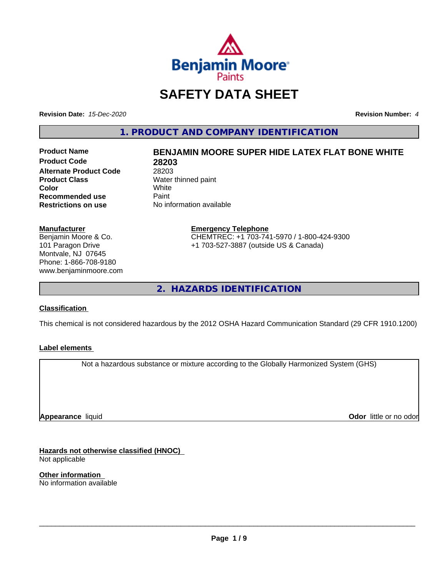

## **SAFETY DATA SHEET**

**Revision Date:** *15-Dec-2020* **Revision Number:** *4*

**1. PRODUCT AND COMPANY IDENTIFICATION**

**Product Code 28203 Alternate Product Code** 28203<br> **Product Class** Water **Color** White White **Recommended use** Paint<br> **Restrictions on use** No inf

# **Product Name BENJAMIN MOORE SUPER HIDE LATEX FLAT BONE WHITE**

**Water thinned paint**<br>White **No information available** 

**Manufacturer** Benjamin Moore & Co. 101 Paragon Drive Montvale, NJ 07645 Phone: 1-866-708-9180

www.benjaminmoore.com

#### **Emergency Telephone** CHEMTREC: +1 703-741-5970 / 1-800-424-9300 +1 703-527-3887 (outside US & Canada)

**2. HAZARDS IDENTIFICATION**

### **Classification**

This chemical is not considered hazardous by the 2012 OSHA Hazard Communication Standard (29 CFR 1910.1200)

#### **Label elements**

Not a hazardous substance or mixture according to the Globally Harmonized System (GHS)

**Appearance** liquid

**Odor** little or no odor

**Hazards not otherwise classified (HNOC)** Not applicable

**Other information** No information available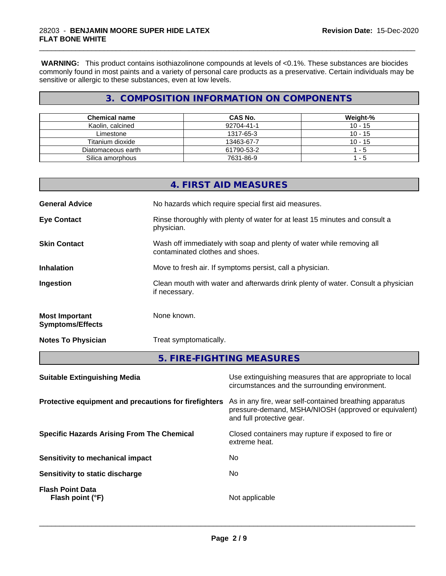**WARNING:** This product contains isothiazolinone compounds at levels of <0.1%. These substances are biocides commonly found in most paints and a variety of personal care products as a preservative. Certain individuals may be sensitive or allergic to these substances, even at low levels.

\_\_\_\_\_\_\_\_\_\_\_\_\_\_\_\_\_\_\_\_\_\_\_\_\_\_\_\_\_\_\_\_\_\_\_\_\_\_\_\_\_\_\_\_\_\_\_\_\_\_\_\_\_\_\_\_\_\_\_\_\_\_\_\_\_\_\_\_\_\_\_\_\_\_\_\_\_\_\_\_\_\_\_\_\_\_\_\_\_\_\_\_\_

## **3. COMPOSITION INFORMATION ON COMPONENTS**

| <b>Chemical name</b> | CAS No.    | Weight-%  |
|----------------------|------------|-----------|
| Kaolin, calcined     | 92704-41-1 | $10 - 15$ |
| Limestone            | 1317-65-3  | $10 - 15$ |
| Titanium dioxide     | 13463-67-7 | $10 - 15$ |
| Diatomaceous earth   | 61790-53-2 | - 5       |
| Silica amorphous     | 7631-86-9  | - 5       |

| Suitable Extinguishing Media                     | I lee extinguishing measures that are appropriate to local                                               |  |
|--------------------------------------------------|----------------------------------------------------------------------------------------------------------|--|
|                                                  | 5. FIRE-FIGHTING MEASURES                                                                                |  |
| <b>Notes To Physician</b>                        | Treat symptomatically.                                                                                   |  |
| <b>Most Important</b><br><b>Symptoms/Effects</b> | None known.                                                                                              |  |
| Ingestion                                        | Clean mouth with water and afterwards drink plenty of water. Consult a physician<br>if necessary.        |  |
| <b>Inhalation</b>                                | Move to fresh air. If symptoms persist, call a physician.                                                |  |
| <b>Skin Contact</b>                              | Wash off immediately with soap and plenty of water while removing all<br>contaminated clothes and shoes. |  |
| <b>Eye Contact</b>                               | Rinse thoroughly with plenty of water for at least 15 minutes and consult a<br>physician.                |  |
| <b>General Advice</b>                            | No hazards which require special first aid measures.                                                     |  |
|                                                  | 4. FIRST AID MEASURES                                                                                    |  |

| <b>SUILADIC EXUILGUISHING IVICUIA</b>                 | Ose extinguishing ineasures that are appropriate to local<br>circumstances and the surrounding environment.                                  |
|-------------------------------------------------------|----------------------------------------------------------------------------------------------------------------------------------------------|
| Protective equipment and precautions for firefighters | As in any fire, wear self-contained breathing apparatus<br>pressure-demand, MSHA/NIOSH (approved or equivalent)<br>and full protective gear. |
| <b>Specific Hazards Arising From The Chemical</b>     | Closed containers may rupture if exposed to fire or<br>extreme heat.                                                                         |
| Sensitivity to mechanical impact                      | No.                                                                                                                                          |
| Sensitivity to static discharge                       | No                                                                                                                                           |
| <b>Flash Point Data</b><br>Flash point (°F)           | Not applicable                                                                                                                               |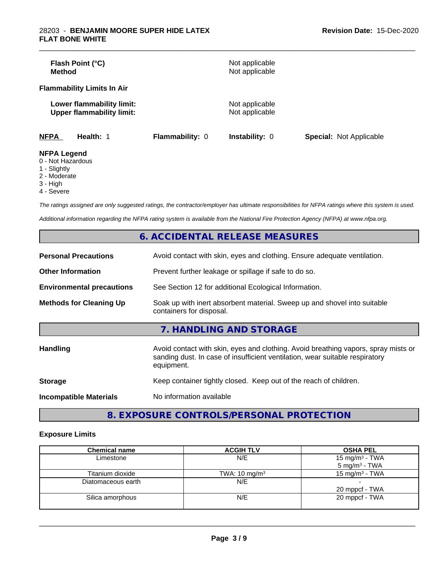| Flash Point (°C)<br><b>Method</b>                             |                 | Not applicable<br>Not applicable |                                |
|---------------------------------------------------------------|-----------------|----------------------------------|--------------------------------|
| <b>Flammability Limits In Air</b>                             |                 |                                  |                                |
| Lower flammability limit:<br><b>Upper flammability limit:</b> |                 | Not applicable<br>Not applicable |                                |
| <b>NFPA</b><br>Health: 1                                      | Flammability: 0 | <b>Instability: 0</b>            | <b>Special: Not Applicable</b> |
| <b>NFPA Legend</b><br>0 Not Horordoug                         |                 |                                  |                                |

\_\_\_\_\_\_\_\_\_\_\_\_\_\_\_\_\_\_\_\_\_\_\_\_\_\_\_\_\_\_\_\_\_\_\_\_\_\_\_\_\_\_\_\_\_\_\_\_\_\_\_\_\_\_\_\_\_\_\_\_\_\_\_\_\_\_\_\_\_\_\_\_\_\_\_\_\_\_\_\_\_\_\_\_\_\_\_\_\_\_\_\_\_

- 0 Not Hazardous
- 1 Slightly
- 2 Moderate
- 3 High
- 4 Severe

*The ratings assigned are only suggested ratings, the contractor/employer has ultimate responsibilities for NFPA ratings where this system is used.*

*Additional information regarding the NFPA rating system is available from the National Fire Protection Agency (NFPA) at www.nfpa.org.*

|                                  | 6. ACCIDENTAL RELEASE MEASURES                                                                                                                                                   |
|----------------------------------|----------------------------------------------------------------------------------------------------------------------------------------------------------------------------------|
| <b>Personal Precautions</b>      | Avoid contact with skin, eyes and clothing. Ensure adequate ventilation.                                                                                                         |
| <b>Other Information</b>         | Prevent further leakage or spillage if safe to do so.                                                                                                                            |
| <b>Environmental precautions</b> | See Section 12 for additional Ecological Information.                                                                                                                            |
| <b>Methods for Cleaning Up</b>   | Soak up with inert absorbent material. Sweep up and shovel into suitable<br>containers for disposal.                                                                             |
|                                  | 7. HANDLING AND STORAGE                                                                                                                                                          |
| <b>Handling</b>                  | Avoid contact with skin, eyes and clothing. Avoid breathing vapors, spray mists or<br>sanding dust. In case of insufficient ventilation, wear suitable respiratory<br>equipment. |
| <b>Storage</b>                   | Keep container tightly closed. Keep out of the reach of children.                                                                                                                |
| <b>Incompatible Materials</b>    | No information available                                                                                                                                                         |

**8. EXPOSURE CONTROLS/PERSONAL PROTECTION**

#### **Exposure Limits**

| <b>Chemical name</b> | <b>ACGIH TLV</b>         | <b>OSHA PEL</b>            |
|----------------------|--------------------------|----------------------------|
| Limestone            | N/E                      | 15 mg/m <sup>3</sup> - TWA |
|                      |                          | $5 \text{ mg/m}^3$ - TWA   |
| Titanium dioxide     | TWA: $10 \text{ mg/m}^3$ | 15 mg/m <sup>3</sup> - TWA |
| Diatomaceous earth   | N/E                      |                            |
|                      |                          | 20 mppcf - TWA             |
| Silica amorphous     | N/E                      | 20 mppcf - TWA             |
|                      |                          |                            |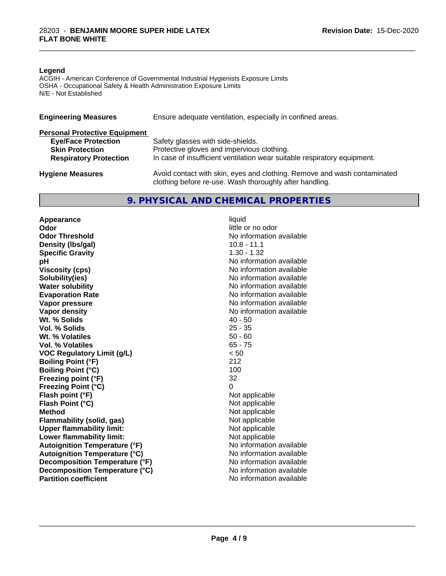#### **Legend**

ACGIH - American Conference of Governmental Industrial Hygienists Exposure Limits OSHA - Occupational Safety & Health Administration Exposure Limits N/E - Not Established

| <b>Engineering Measures</b>          | Ensure adequate ventilation, especially in confined areas.                                                                          |
|--------------------------------------|-------------------------------------------------------------------------------------------------------------------------------------|
| <b>Personal Protective Equipment</b> |                                                                                                                                     |
| <b>Eye/Face Protection</b>           | Safety glasses with side-shields.                                                                                                   |
| <b>Skin Protection</b>               | Protective gloves and impervious clothing.                                                                                          |
| <b>Respiratory Protection</b>        | In case of insufficient ventilation wear suitable respiratory equipment.                                                            |
| <b>Hygiene Measures</b>              | Avoid contact with skin, eyes and clothing. Remove and wash contaminated<br>clothing before re-use. Wash thoroughly after handling. |

#### **9. PHYSICAL AND CHEMICAL PROPERTIES**

**Appearance** liquid<br> **Appearance** liquid<br> **Odor Odor Threshold No information available No information available Density (Ibs/gal)** 10.8 - 11.1<br> **Specific Gravity** 1.30 - 1.32 **Specific Gravity**<br>pH **Viscosity (cps)** No information available **Solubility(ies)** No information available **Water solubility** No information available **Evaporation Rate No information available No information available Vapor pressure** No information available **No information** available **Vapor density**<br> **We Solids**<br>
We Solid Wi, % Solids
2019 **Wt. % Solids** 40 - 50<br> **Vol. % Solids** 25 - 35 **Vol. % Solids Wt. % Volatiles** 50 - 60<br> **Vol. % Volatiles** 65 - 75 **Vol. % Volatiles VOC Regulatory Limit (g/L)** < 50 **Boiling Point (°F)** 212 **Boiling Point (°C)** 100 **Freezing point (°F)** 32 **Freezing Point (°C)** 0 **Flash point (°F)** Not applicable **Flash Point (°C)** Not applicable **Method**<br> **Flammability (solid, gas)**<br> **Commability (solid, gas)**<br> **Not** applicable **Flammability** (solid, gas) **Upper flammability limit:**<br> **Lower flammability limit:** Not applicable Not applicable **Lower flammability limit:**<br> **Autoignition Temperature (°F)** Not applicable available and the Mustafable and Mustafable and Mustafable and Mu **Autoignition Temperature (°F) Autoignition Temperature (°C)** No information available **Decomposition Temperature (°F)** No information available **Decomposition Temperature (°C)** No information available **Partition coefficient** and the settlement of the settlement of the No information available

**Odor** little or no odor **No information available** 

\_\_\_\_\_\_\_\_\_\_\_\_\_\_\_\_\_\_\_\_\_\_\_\_\_\_\_\_\_\_\_\_\_\_\_\_\_\_\_\_\_\_\_\_\_\_\_\_\_\_\_\_\_\_\_\_\_\_\_\_\_\_\_\_\_\_\_\_\_\_\_\_\_\_\_\_\_\_\_\_\_\_\_\_\_\_\_\_\_\_\_\_\_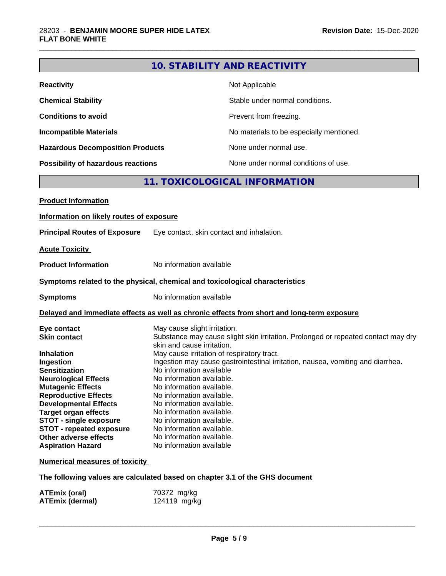## **10. STABILITY AND REACTIVITY**

\_\_\_\_\_\_\_\_\_\_\_\_\_\_\_\_\_\_\_\_\_\_\_\_\_\_\_\_\_\_\_\_\_\_\_\_\_\_\_\_\_\_\_\_\_\_\_\_\_\_\_\_\_\_\_\_\_\_\_\_\_\_\_\_\_\_\_\_\_\_\_\_\_\_\_\_\_\_\_\_\_\_\_\_\_\_\_\_\_\_\_\_\_

| <b>Reactivity</b>                       | Not Applicable                           |
|-----------------------------------------|------------------------------------------|
| <b>Chemical Stability</b>               | Stable under normal conditions.          |
| <b>Conditions to avoid</b>              | Prevent from freezing.                   |
| <b>Incompatible Materials</b>           | No materials to be especially mentioned. |
| <b>Hazardous Decomposition Products</b> | None under normal use.                   |
| Possibility of hazardous reactions      | None under normal conditions of use.     |

## **11. TOXICOLOGICAL INFORMATION**

| <b>Product Information</b>               |                                                                                                                 |
|------------------------------------------|-----------------------------------------------------------------------------------------------------------------|
| Information on likely routes of exposure |                                                                                                                 |
| <b>Principal Routes of Exposure</b>      | Eye contact, skin contact and inhalation.                                                                       |
| <b>Acute Toxicity</b>                    |                                                                                                                 |
| <b>Product Information</b>               | No information available                                                                                        |
|                                          | Symptoms related to the physical, chemical and toxicological characteristics                                    |
| <b>Symptoms</b>                          | No information available                                                                                        |
|                                          | Delayed and immediate effects as well as chronic effects from short and long-term exposure                      |
| Eye contact                              | May cause slight irritation.                                                                                    |
| <b>Skin contact</b>                      | Substance may cause slight skin irritation. Prolonged or repeated contact may dry<br>skin and cause irritation. |
| <b>Inhalation</b>                        | May cause irritation of respiratory tract.                                                                      |
| Ingestion                                | Ingestion may cause gastrointestinal irritation, nausea, vomiting and diarrhea.                                 |
| <b>Sensitization</b>                     | No information available                                                                                        |
| <b>Neurological Effects</b>              | No information available.                                                                                       |
| <b>Mutagenic Effects</b>                 | No information available.                                                                                       |
| <b>Reproductive Effects</b>              | No information available.                                                                                       |
| <b>Developmental Effects</b>             | No information available.                                                                                       |
| <b>Target organ effects</b>              | No information available.                                                                                       |
| <b>STOT - single exposure</b>            | No information available.                                                                                       |
| <b>STOT - repeated exposure</b>          | No information available.                                                                                       |
| Other adverse effects                    | No information available.                                                                                       |
| <b>Aspiration Hazard</b>                 | No information available                                                                                        |
| <b>Numerical measures of toxicity</b>    |                                                                                                                 |

**The following values are calculated based on chapter 3.1 of the GHS document**

| ATEmix (oral)   | 70372 mg/kg  |
|-----------------|--------------|
| ATEmix (dermal) | 124119 mg/kg |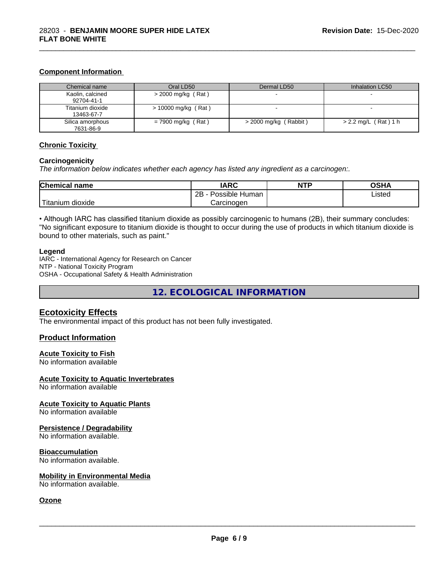#### **Component Information**

| Chemical name                  | Oral LD50            | Dermal LD50             | Inhalation LC50        |
|--------------------------------|----------------------|-------------------------|------------------------|
| Kaolin, calcined<br>92704-41-1 | $>$ 2000 mg/kg (Rat) |                         |                        |
| Titanium dioxide<br>13463-67-7 | > 10000 mg/kg (Rat)  |                         |                        |
| Silica amorphous<br>7631-86-9  | $= 7900$ mg/kg (Rat) | $>$ 2000 mg/kg (Rabbit) | $> 2.2$ mg/L (Rat) 1 h |

\_\_\_\_\_\_\_\_\_\_\_\_\_\_\_\_\_\_\_\_\_\_\_\_\_\_\_\_\_\_\_\_\_\_\_\_\_\_\_\_\_\_\_\_\_\_\_\_\_\_\_\_\_\_\_\_\_\_\_\_\_\_\_\_\_\_\_\_\_\_\_\_\_\_\_\_\_\_\_\_\_\_\_\_\_\_\_\_\_\_\_\_\_

#### **Chronic Toxicity**

#### **Carcinogenicity**

*The information below indicateswhether each agency has listed any ingredient as a carcinogen:.*

| <b>Chemical name</b>         | <b>IARC</b>                    | <b>NTP</b> | <b>OCUA</b><br>שטש |
|------------------------------|--------------------------------|------------|--------------------|
|                              | .<br>2B<br>Possible<br>⊧ Human |            | Listed<br>.        |
| نت ا<br>dioxide<br>l itanium | Carcinogen                     |            |                    |

• Although IARC has classified titanium dioxide as possibly carcinogenic to humans (2B), their summary concludes: "No significant exposure to titanium dioxide is thought to occur during the use of products in which titanium dioxide is bound to other materials, such as paint."

#### **Legend**

IARC - International Agency for Research on Cancer NTP - National Toxicity Program OSHA - Occupational Safety & Health Administration

**12. ECOLOGICAL INFORMATION**

#### **Ecotoxicity Effects**

The environmental impact of this product has not been fully investigated.

#### **Product Information**

#### **Acute Toxicity to Fish**

No information available

#### **Acute Toxicity to Aquatic Invertebrates**

No information available

#### **Acute Toxicity to Aquatic Plants**

No information available

#### **Persistence / Degradability**

No information available.

#### **Bioaccumulation**

No information available.

#### **Mobility in Environmental Media**

No information available.

#### **Ozone**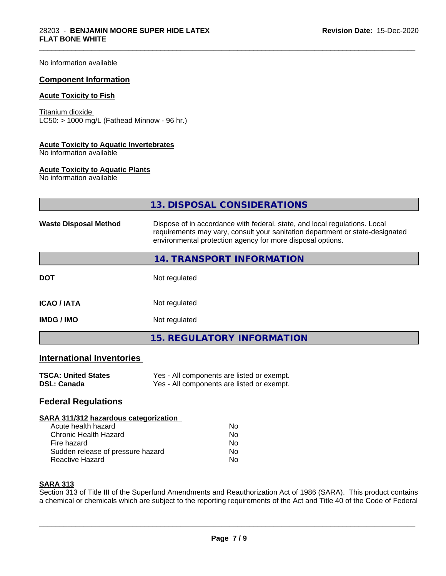No information available

#### **Component Information**

#### **Acute Toxicity to Fish**

Titanium dioxide  $\overline{\text{LC50:}}$  > 1000 mg/L (Fathead Minnow - 96 hr.)

#### **Acute Toxicity to Aquatic Invertebrates**

No information available

#### **Acute Toxicity to Aquatic Plants**

No information available

|                                  | 13. DISPOSAL CONSIDERATIONS                                                                                                                                                                                               |  |
|----------------------------------|---------------------------------------------------------------------------------------------------------------------------------------------------------------------------------------------------------------------------|--|
| <b>Waste Disposal Method</b>     | Dispose of in accordance with federal, state, and local regulations. Local<br>requirements may vary, consult your sanitation department or state-designated<br>environmental protection agency for more disposal options. |  |
|                                  | 14. TRANSPORT INFORMATION                                                                                                                                                                                                 |  |
| <b>DOT</b>                       | Not regulated                                                                                                                                                                                                             |  |
| <b>ICAO/IATA</b>                 | Not regulated                                                                                                                                                                                                             |  |
| <b>IMDG / IMO</b>                | Not regulated                                                                                                                                                                                                             |  |
|                                  | <b>15. REGULATORY INFORMATION</b>                                                                                                                                                                                         |  |
| <b>International Inventories</b> |                                                                                                                                                                                                                           |  |
| <b>TSCA: United States</b>       | Yes - All components are listed or exempt.                                                                                                                                                                                |  |

\_\_\_\_\_\_\_\_\_\_\_\_\_\_\_\_\_\_\_\_\_\_\_\_\_\_\_\_\_\_\_\_\_\_\_\_\_\_\_\_\_\_\_\_\_\_\_\_\_\_\_\_\_\_\_\_\_\_\_\_\_\_\_\_\_\_\_\_\_\_\_\_\_\_\_\_\_\_\_\_\_\_\_\_\_\_\_\_\_\_\_\_\_

| TOUA. UIIIIUU JIAIUS | <b>163 - All Components are insted of exempt.</b> |
|----------------------|---------------------------------------------------|
| <b>DSL: Canada</b>   | Yes - All components are listed or exempt.        |

## **Federal Regulations**

#### **SARA 311/312 hazardous categorization**

| Acute health hazard               | N٥ |
|-----------------------------------|----|
| Chronic Health Hazard             | Nο |
| Fire hazard                       | N٥ |
| Sudden release of pressure hazard | Nο |
| Reactive Hazard                   | Nο |

#### **SARA 313**

Section 313 of Title III of the Superfund Amendments and Reauthorization Act of 1986 (SARA). This product contains a chemical or chemicals which are subject to the reporting requirements of the Act and Title 40 of the Code of Federal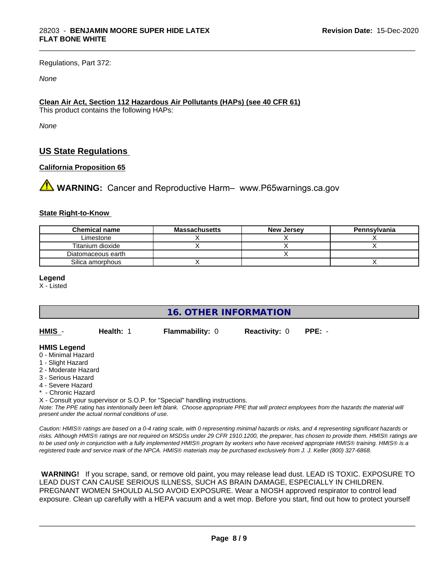Regulations, Part 372:

*None*

#### **Clean Air Act,Section 112 Hazardous Air Pollutants (HAPs) (see 40 CFR 61)**

This product contains the following HAPs:

*None*

## **US State Regulations**

#### **California Proposition 65**

**AVIMARNING:** Cancer and Reproductive Harm– www.P65warnings.ca.gov

#### **State Right-to-Know**

| <b>Chemical name</b> | Massachusetts | <b>New Jersey</b> | Pennsylvania |
|----------------------|---------------|-------------------|--------------|
| ∟imestone            |               |                   |              |
| Titanium dioxide     |               |                   |              |
| Diatomaceous earth   |               |                   |              |
| Silica amorphous     |               |                   |              |

\_\_\_\_\_\_\_\_\_\_\_\_\_\_\_\_\_\_\_\_\_\_\_\_\_\_\_\_\_\_\_\_\_\_\_\_\_\_\_\_\_\_\_\_\_\_\_\_\_\_\_\_\_\_\_\_\_\_\_\_\_\_\_\_\_\_\_\_\_\_\_\_\_\_\_\_\_\_\_\_\_\_\_\_\_\_\_\_\_\_\_\_\_

**Legend**

X - Listed

**16. OTHER INFORMATION**

| HMIS - | Health: 1 | <b>Flammability: 0</b> | <b>Reactivity: 0 PPE: -</b> |  |
|--------|-----------|------------------------|-----------------------------|--|
|        |           |                        |                             |  |

#### **HMIS Legend**

- 0 Minimal Hazard
- 1 Slight Hazard
- 2 Moderate Hazard
- 3 Serious Hazard
- 4 Severe Hazard
- \* Chronic Hazard

X - Consult your supervisor or S.O.P. for "Special" handling instructions.

*Note: The PPE rating has intentionally been left blank. Choose appropriate PPE that will protect employees from the hazards the material will present under the actual normal conditions of use.*

*Caution: HMISÒ ratings are based on a 0-4 rating scale, with 0 representing minimal hazards or risks, and 4 representing significant hazards or risks. Although HMISÒ ratings are not required on MSDSs under 29 CFR 1910.1200, the preparer, has chosen to provide them. HMISÒ ratings are to be used only in conjunction with a fully implemented HMISÒ program by workers who have received appropriate HMISÒ training. HMISÒ is a registered trade and service mark of the NPCA. HMISÒ materials may be purchased exclusively from J. J. Keller (800) 327-6868.*

 **WARNING!** If you scrape, sand, or remove old paint, you may release lead dust. LEAD IS TOXIC. EXPOSURE TO LEAD DUST CAN CAUSE SERIOUS ILLNESS, SUCH AS BRAIN DAMAGE, ESPECIALLY IN CHILDREN. PREGNANT WOMEN SHOULD ALSO AVOID EXPOSURE.Wear a NIOSH approved respirator to control lead exposure. Clean up carefully with a HEPA vacuum and a wet mop. Before you start, find out how to protect yourself